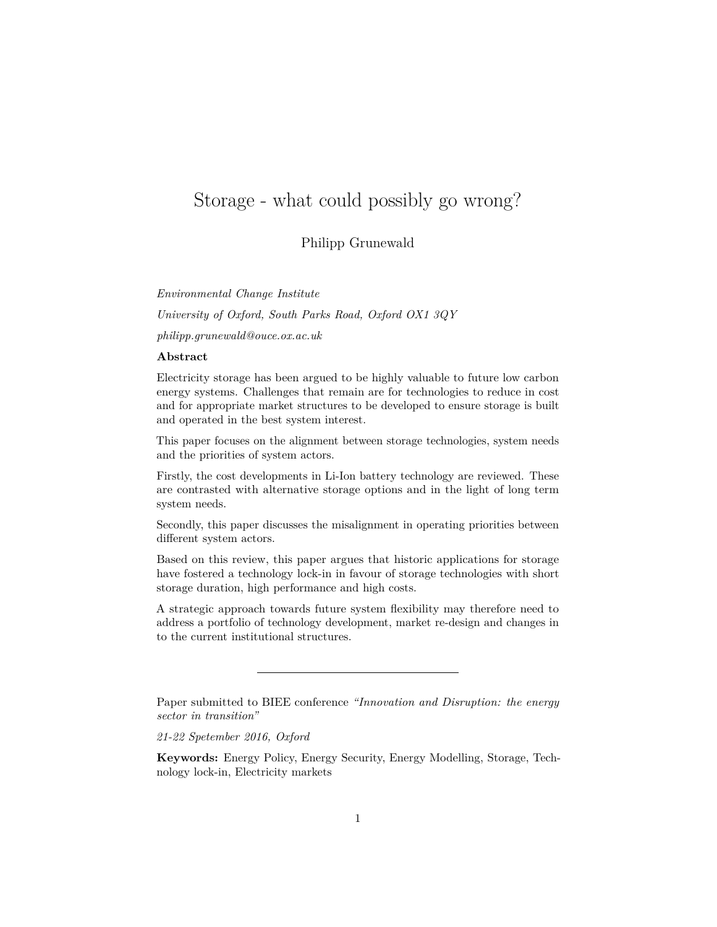# Storage - what could possibly go wrong?

Philipp Grunewald

*Environmental Change Institute*

*University of Oxford, South Parks Road, Oxford OX1 3QY*

*philipp.grunewald@ouce.ox.ac.uk*

#### **Abstract**

Electricity storage has been argued to be highly valuable to future low carbon energy systems. Challenges that remain are for technologies to reduce in cost and for appropriate market structures to be developed to ensure storage is built and operated in the best system interest.

This paper focuses on the alignment between storage technologies, system needs and the priorities of system actors.

Firstly, the cost developments in Li-Ion battery technology are reviewed. These are contrasted with alternative storage options and in the light of long term system needs.

Secondly, this paper discusses the misalignment in operating priorities between different system actors.

Based on this review, this paper argues that historic applications for storage have fostered a technology lock-in in favour of storage technologies with short storage duration, high performance and high costs.

A strategic approach towards future system flexibility may therefore need to address a portfolio of technology development, market re-design and changes in to the current institutional structures.

*21-22 Spetember 2016, Oxford*

**Keywords:** Energy Policy, Energy Security, Energy Modelling, Storage, Technology lock-in, Electricity markets

Paper submitted to BIEE conference *"Innovation and Disruption: the energy sector in transition"*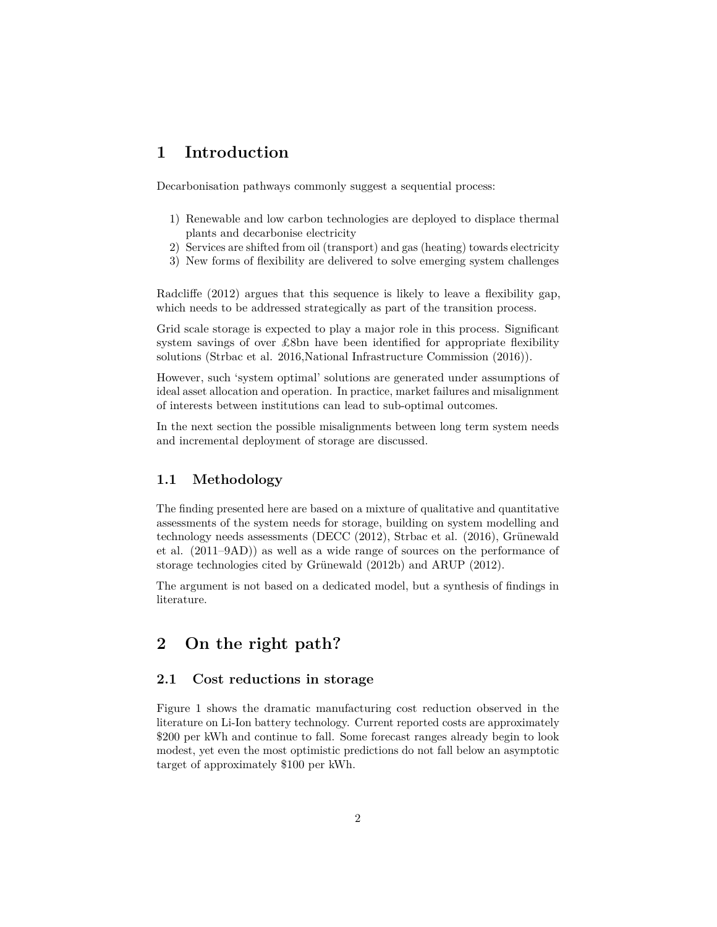## **1 Introduction**

Decarbonisation pathways commonly suggest a sequential process:

- 1) Renewable and low carbon technologies are deployed to displace thermal plants and decarbonise electricity
- 2) Services are shifted from oil (transport) and gas (heating) towards electricity
- 3) New forms of flexibility are delivered to solve emerging system challenges

Radcliffe (2012) argues that this sequence is likely to leave a flexibility gap, which needs to be addressed strategically as part of the transition process.

Grid scale storage is expected to play a major role in this process. Significant system savings of over £8bn have been identified for appropriate flexibility solutions (Strbac et al. 2016,National Infrastructure Commission (2016)).

However, such 'system optimal' solutions are generated under assumptions of ideal asset allocation and operation. In practice, market failures and misalignment of interests between institutions can lead to sub-optimal outcomes.

In the next section the possible misalignments between long term system needs and incremental deployment of storage are discussed.

### **1.1 Methodology**

The finding presented here are based on a mixture of qualitative and quantitative assessments of the system needs for storage, building on system modelling and technology needs assessments (DECC (2012), Strbac et al. (2016), Grünewald et al. (2011–9AD)) as well as a wide range of sources on the performance of storage technologies cited by Grünewald (2012b) and ARUP (2012).

The argument is not based on a dedicated model, but a synthesis of findings in literature.

## **2 On the right path?**

### **2.1 Cost reductions in storage**

Figure 1 shows the dramatic manufacturing cost reduction observed in the literature on Li-Ion battery technology. Current reported costs are approximately \$200 per kWh and continue to fall. Some forecast ranges already begin to look modest, yet even the most optimistic predictions do not fall below an asymptotic target of approximately \$100 per kWh.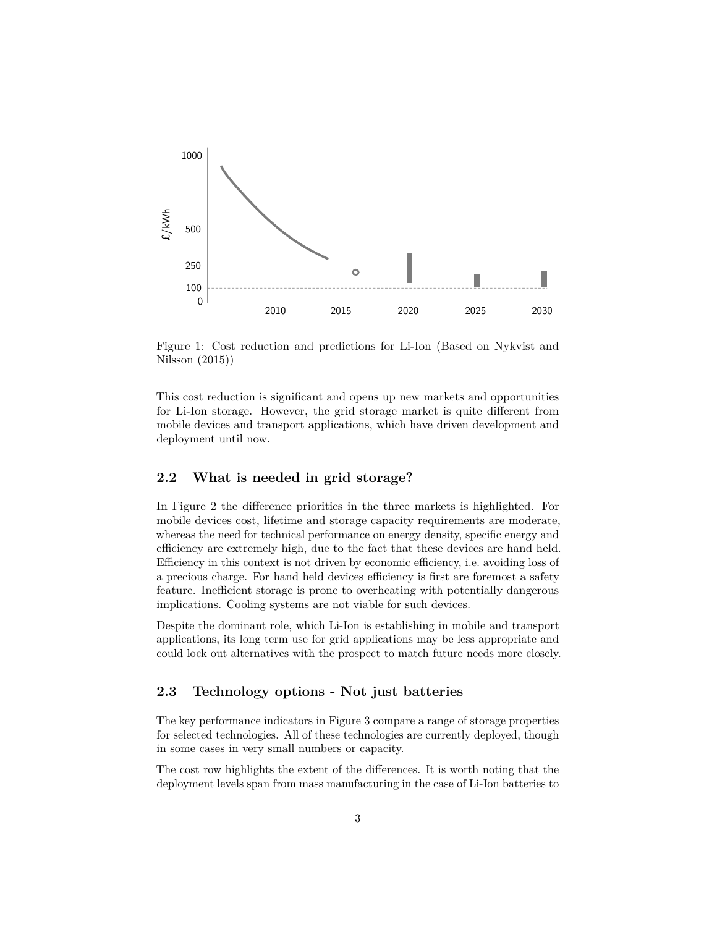

Figure 1: Cost reduction and predictions for Li-Ion (Based on Nykvist and Nilsson (2015))

This cost reduction is significant and opens up new markets and opportunities for Li-Ion storage. However, the grid storage market is quite different from mobile devices and transport applications, which have driven development and deployment until now.

### **2.2 What is needed in grid storage?**

In Figure 2 the difference priorities in the three markets is highlighted. For mobile devices cost, lifetime and storage capacity requirements are moderate, whereas the need for technical performance on energy density, specific energy and efficiency are extremely high, due to the fact that these devices are hand held. Efficiency in this context is not driven by economic efficiency, i.e. avoiding loss of a precious charge. For hand held devices efficiency is first are foremost a safety feature. Inefficient storage is prone to overheating with potentially dangerous implications. Cooling systems are not viable for such devices.

Despite the dominant role, which Li-Ion is establishing in mobile and transport applications, its long term use for grid applications may be less appropriate and could lock out alternatives with the prospect to match future needs more closely.

### **2.3 Technology options - Not just batteries**

The key performance indicators in Figure 3 compare a range of storage properties for selected technologies. All of these technologies are currently deployed, though in some cases in very small numbers or capacity.

The cost row highlights the extent of the differences. It is worth noting that the deployment levels span from mass manufacturing in the case of Li-Ion batteries to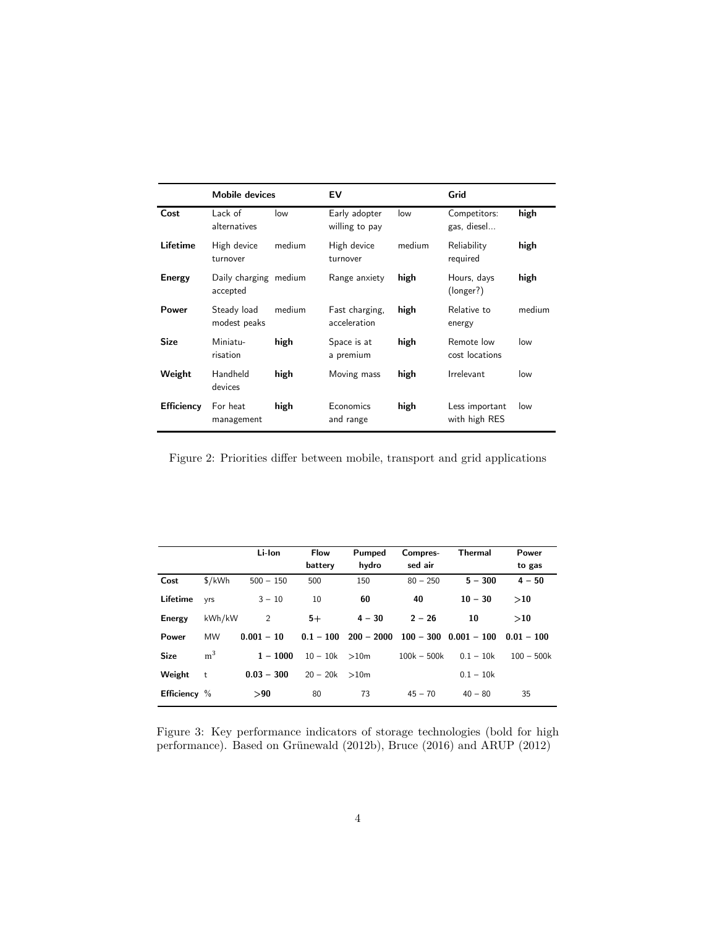|                   | <b>Mobile devices</b>             |        | EV                              |        | Grid                            |        |
|-------------------|-----------------------------------|--------|---------------------------------|--------|---------------------------------|--------|
| Cost              | Lack of<br>alternatives           | low    | Early adopter<br>willing to pay | low    | Competitors:<br>gas, diesel     | high   |
| Lifetime          | High device<br>turnover           | medium | High device<br>turnover         | medium | Reliability<br>required         | high   |
| Energy            | Daily charging medium<br>accepted |        | Range anxiety                   | high   | Hours, days<br>(longer?)        | high   |
| Power             | Steady load<br>modest peaks       | medium | Fast charging,<br>acceleration  | high   | Relative to<br>energy           | medium |
| <b>Size</b>       | Miniatu-<br>risation              | high   | Space is at<br>a premium        | high   | Remote low<br>cost locations    | low    |
| Weight            | Handheld<br>devices               | high   | Moving mass                     | high   | Irrelevant                      | low    |
| <b>Efficiency</b> | For heat<br>management            | high   | Economics<br>and range          | high   | Less important<br>with high RES | low    |

Figure 2: Priorities differ between mobile, transport and grid applications

|              |                | Li-Ion         | <b>Flow</b>      | Pumped       | Compres-      | Thermal                   | Power        |
|--------------|----------------|----------------|------------------|--------------|---------------|---------------------------|--------------|
|              |                |                | battery          | hydro        | sed air       |                           | to gas       |
| Cost         | \$/kWh         | $500 - 150$    | 500              | 150          | $80 - 250$    | $5 - 300$                 | $4 - 50$     |
| Lifetime     | yrs            | $3 - 10$       | 10               | 60           | 40            | $10 - 30$                 | >10          |
| Energy       | kWh/kW         | $\overline{2}$ | $5+$             | $4 - 30$     | $2 - 26$      | 10                        | >10          |
| Power        | <b>MW</b>      | $0.001 - 10$   | $0.1 - 100$      | $200 - 2000$ |               | $100 - 300$ $0.001 - 100$ | $0.01 - 100$ |
| <b>Size</b>  | m <sup>3</sup> | $1 - 1000$     | $10 - 10k > 10m$ |              | $100k - 500k$ | $0.1 - 10k$               | $100 - 500k$ |
| Weight       | t              | $0.03 - 300$   | $20 - 20k > 10m$ |              |               | $0.1 - 10k$               |              |
| Efficiency % |                | > 90           | 80               | 73           | $45 - 70$     | $40 - 80$                 | 35           |

Figure 3: Key performance indicators of storage technologies (bold for high performance). Based on Grünewald (2012b), Bruce (2016) and ARUP (2012)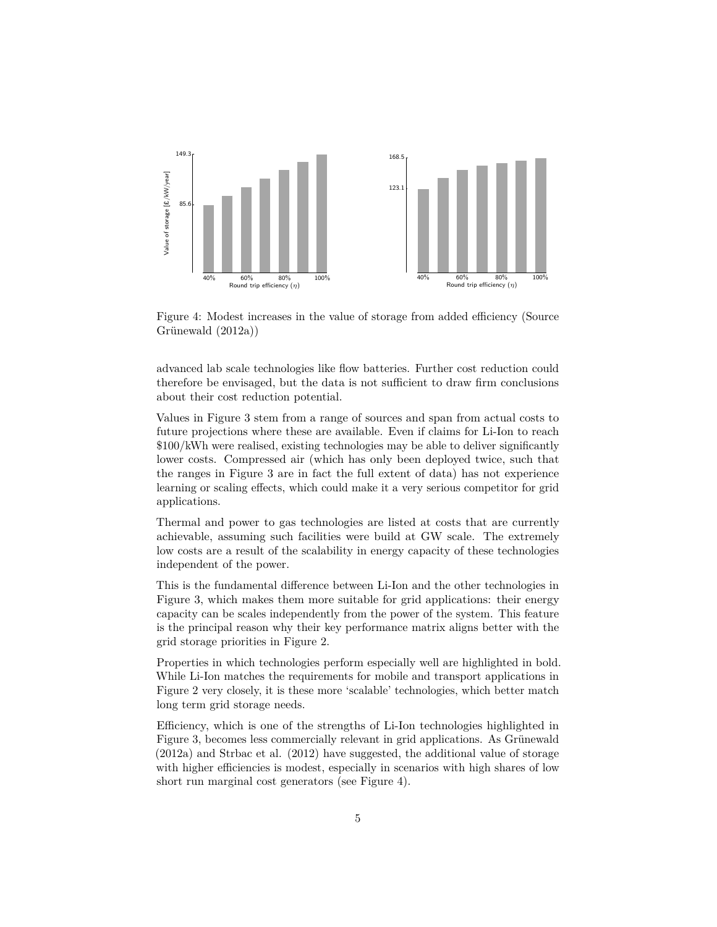

Figure 4: Modest increases in the value of storage from added efficiency (Source Grünewald (2012a))

*3.5. Storage in nuclear and CCS scenarios* about their cost reduction potential. advanced lab scale technologies like flow batteries. Further cost reduction could therefore be envisaged, but the data is not sufficient to draw firm conclusions

Values in Figure 3 stem from a range of sources and span from actual costs to future projections where these are available. Even if claims for Li-Ion to reach \$100/kWh were realised, existing technologies may be able to deliver significantly lower costs. Compressed air (which has only been deployed twice, such that the ranges in Figure 3 are in fact the full extent of data) has not experience learning or scaling effects, which could make it a very serious competitor for grid applications.

Thermal and power to gas technologies are listed at costs that are currently achievable, assuming such facilities were build at GW scale. The extremely *3.6. Mismatch between market value and social value* independent of the power. low costs are a result of the scalability in energy capacity of these technologies

The analysis above considers the commercial value of storage for investors operating an This is the fundamental difference between Li-Ion and the other technologies in is the principal reason why their key performance matrix aligns better with the Figure 3, which makes them more suitable for grid applications: their energy capacity can be scales independently from the power of the system. This feature grid storage priorities in Figure 2.

Properties in which technologies perform especially well are highlighted in bold. While Li-Ion matches the requirements for mobile and transport applications in Figure 2 very closely, it is these more 'scalable' technologies, which better match long term grid storage needs.

Efficiency, which is one of the strengths of Li-Ion technologies highlighted in Figure 3, becomes less commercially relevant in grid applications. As Grünewald (2012a) and Strbac et al. (2012) have suggested, the additional value of storage with higher efficiencies is modest, especially in scenarios with high shares of low short run marginal cost generators (see Figure 4).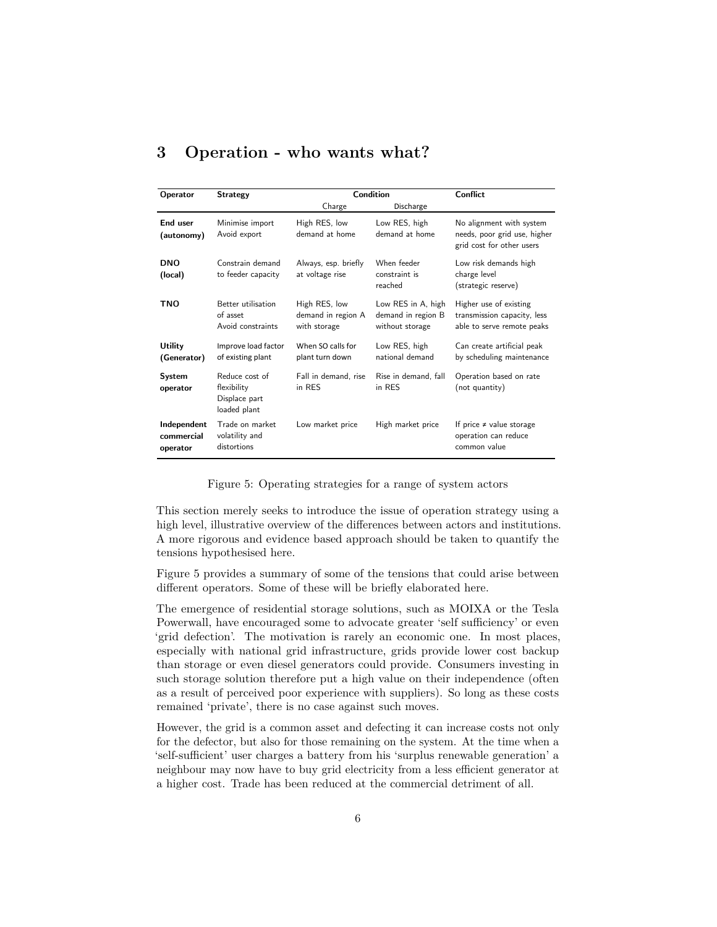## **3 Operation - who wants what?**

| <b>Operator</b>                       | <b>Strategy</b>                                                | Condition                                           |                                                             | Conflict                                                                              |  |
|---------------------------------------|----------------------------------------------------------------|-----------------------------------------------------|-------------------------------------------------------------|---------------------------------------------------------------------------------------|--|
|                                       |                                                                | Charge                                              | Discharge                                                   |                                                                                       |  |
| End user<br>(autonomy)                | Minimise import<br>Avoid export                                | High RES, low<br>demand at home                     | Low RES, high<br>demand at home                             | No alignment with system<br>needs, poor grid use, higher<br>grid cost for other users |  |
| <b>DNO</b><br>(local)                 | Constrain demand<br>to feeder capacity                         | Always, esp. briefly<br>at voltage rise             | When feeder<br>constraint is<br>reached                     | Low risk demands high<br>charge level<br>(strategic reserve)                          |  |
| TNO                                   | Better utilisation<br>of asset<br>Avoid constraints            | High RES, low<br>demand in region A<br>with storage | Low RES in A, high<br>demand in region B<br>without storage | Higher use of existing<br>transmission capacity, less<br>able to serve remote peaks   |  |
| Utility<br>(Generator)                | Improve load factor<br>of existing plant                       | When SO calls for<br>plant turn down                | Low RES, high<br>national demand                            | Can create artificial peak<br>by scheduling maintenance                               |  |
| System<br>operator                    | Reduce cost of<br>flexibility<br>Displace part<br>loaded plant | Fall in demand, rise<br>in RES                      | Rise in demand, fall<br>in RES                              | Operation based on rate<br>(not quantity)                                             |  |
| Independent<br>commercial<br>operator | Trade on market<br>volatility and<br>distortions               | Low market price                                    | High market price                                           | If price $\neq$ value storage<br>operation can reduce<br>common value                 |  |

Figure 5: Operating strategies for a range of system actors

This section merely seeks to introduce the issue of operation strategy using a high level, illustrative overview of the differences between actors and institutions. A more rigorous and evidence based approach should be taken to quantify the tensions hypothesised here.

Figure 5 provides a summary of some of the tensions that could arise between different operators. Some of these will be briefly elaborated here.

The emergence of residential storage solutions, such as MOIXA or the Tesla Powerwall, have encouraged some to advocate greater 'self sufficiency' or even 'grid defection'. The motivation is rarely an economic one. In most places, especially with national grid infrastructure, grids provide lower cost backup than storage or even diesel generators could provide. Consumers investing in such storage solution therefore put a high value on their independence (often as a result of perceived poor experience with suppliers). So long as these costs remained 'private', there is no case against such moves.

However, the grid is a common asset and defecting it can increase costs not only for the defector, but also for those remaining on the system. At the time when a 'self-sufficient' user charges a battery from his 'surplus renewable generation' a neighbour may now have to buy grid electricity from a less efficient generator at a higher cost. Trade has been reduced at the commercial detriment of all.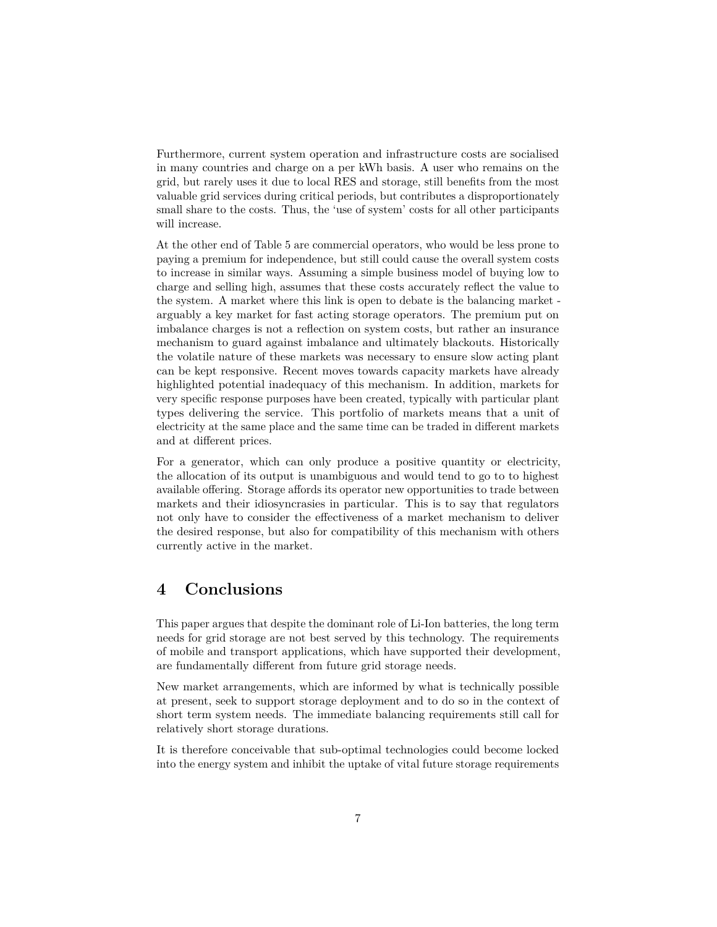Furthermore, current system operation and infrastructure costs are socialised in many countries and charge on a per kWh basis. A user who remains on the grid, but rarely uses it due to local RES and storage, still benefits from the most valuable grid services during critical periods, but contributes a disproportionately small share to the costs. Thus, the 'use of system' costs for all other participants will increase.

At the other end of Table 5 are commercial operators, who would be less prone to paying a premium for independence, but still could cause the overall system costs to increase in similar ways. Assuming a simple business model of buying low to charge and selling high, assumes that these costs accurately reflect the value to the system. A market where this link is open to debate is the balancing market arguably a key market for fast acting storage operators. The premium put on imbalance charges is not a reflection on system costs, but rather an insurance mechanism to guard against imbalance and ultimately blackouts. Historically the volatile nature of these markets was necessary to ensure slow acting plant can be kept responsive. Recent moves towards capacity markets have already highlighted potential inadequacy of this mechanism. In addition, markets for very specific response purposes have been created, typically with particular plant types delivering the service. This portfolio of markets means that a unit of electricity at the same place and the same time can be traded in different markets and at different prices.

For a generator, which can only produce a positive quantity or electricity, the allocation of its output is unambiguous and would tend to go to to highest available offering. Storage affords its operator new opportunities to trade between markets and their idiosyncrasies in particular. This is to say that regulators not only have to consider the effectiveness of a market mechanism to deliver the desired response, but also for compatibility of this mechanism with others currently active in the market.

## **4 Conclusions**

This paper argues that despite the dominant role of Li-Ion batteries, the long term needs for grid storage are not best served by this technology. The requirements of mobile and transport applications, which have supported their development, are fundamentally different from future grid storage needs.

New market arrangements, which are informed by what is technically possible at present, seek to support storage deployment and to do so in the context of short term system needs. The immediate balancing requirements still call for relatively short storage durations.

It is therefore conceivable that sub-optimal technologies could become locked into the energy system and inhibit the uptake of vital future storage requirements